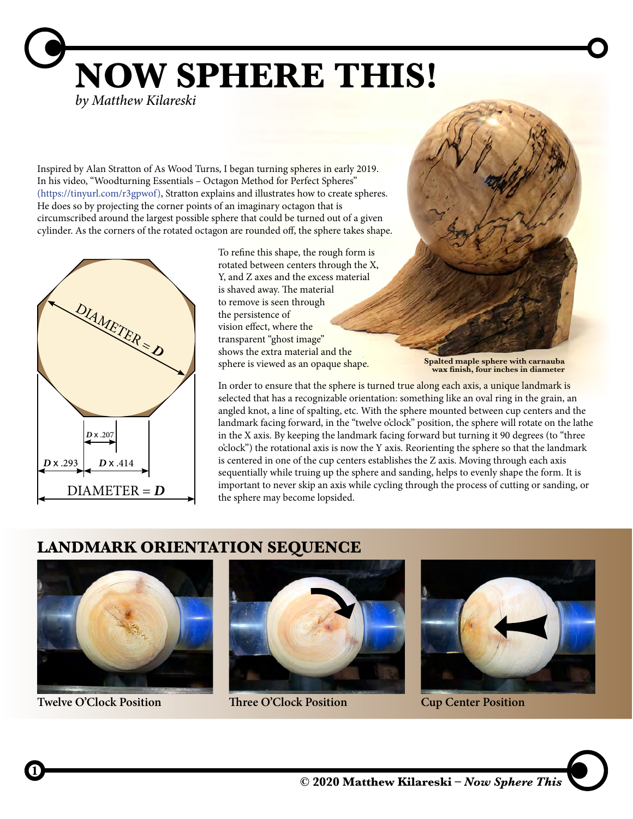**NOW SPHERE THIS!** *by Matthew Kilareski*

Inspired by Alan Stratton of As Wood Turns, I began turning spheres in early 2019. In his video, "Woodturning Essentials – Octagon Method for Perfect Spheres" (https://tinyurl.com/r3gpwof), Stratton explains and illustrates how to create spheres. He does so by projecting the corner points of an imaginary octagon that is circumscribed around the largest possible sphere that could be turned out of a given cylinder. As the corners of the rotated octagon are rounded off, the sphere takes shape.



To refine this shape, the rough form is rotated between centers through the X, Y, and Z axes and the excess material is shaved away. The material to remove is seen through the persistence of vision effect, where the transparent "ghost image" shows the extra material and the sphere is viewed as an opaque shape.

**Spalted maple sphere with carnauba wax finish, four inches in diameter** 

In order to ensure that the sphere is turned true along each axis, a unique landmark is selected that has a recognizable orientation: something like an oval ring in the grain, an angled knot, a line of spalting, etc. With the sphere mounted between cup centers and the landmark facing forward, in the "twelve o'clock" position, the sphere will rotate on the lathe in the X axis. By keeping the landmark facing forward but turning it 90 degrees (to "three o'clock") the rotational axis is now the Y axis. Reorienting the sphere so that the landmark is centered in one of the cup centers establishes the Z axis. Moving through each axis sequentially while truing up the sphere and sanding, helps to evenly shape the form. It is important to never skip an axis while cycling through the process of cutting or sanding, or the sphere may become lopsided.

## **LANDMARK ORIENTATION SEQUENCE**



**Twelve O'Clock Position Three O'Clock Position Cup Center Position**

**1**





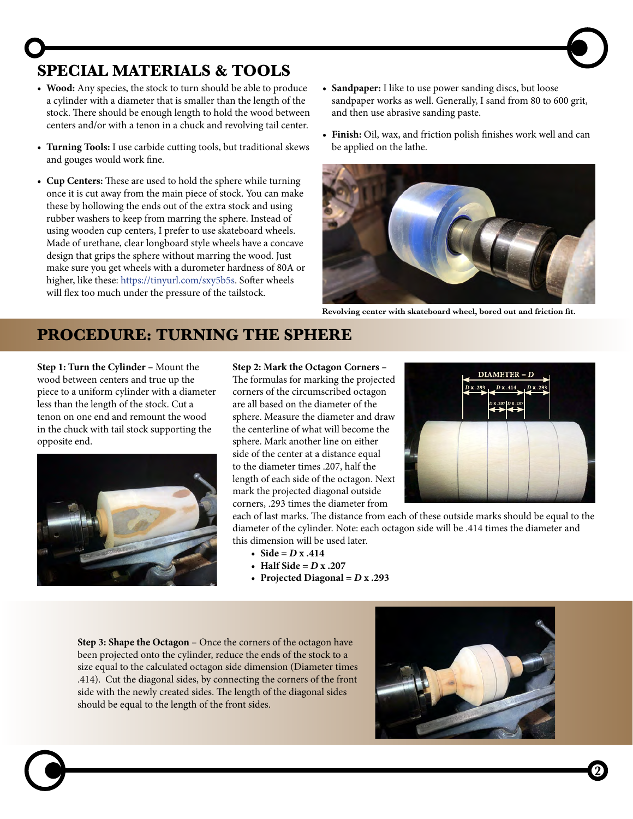## **SPECIAL MATERIALS & TOOLS**

- **• Wood:** Any species, the stock to turn should be able to produce a cylinder with a diameter that is smaller than the length of the stock. There should be enough length to hold the wood between centers and/or with a tenon in a chuck and revolving tail center.
- **• Turning Tools:** I use carbide cutting tools, but traditional skews and gouges would work fine.
- **• Cup Centers:** These are used to hold the sphere while turning once it is cut away from the main piece of stock. You can make these by hollowing the ends out of the extra stock and using rubber washers to keep from marring the sphere. Instead of using wooden cup centers, I prefer to use skateboard wheels. Made of urethane, clear longboard style wheels have a concave design that grips the sphere without marring the wood. Just make sure you get wheels with a durometer hardness of 80A or higher, like these: https://tinyurl.com/sxy5b5s. Softer wheels will flex too much under the pressure of the tailstock.
- **• Sandpaper:** I like to use power sanding discs, but loose sandpaper works as well. Generally, I sand from 80 to 600 grit, and then use abrasive sanding paste.
- **• Finish:** Oil, wax, and friction polish finishes work well and can be applied on the lathe.



**Revolving center with skateboard wheel, bored out and friction fit.**

## **PROCEDURE: TURNING THE SPHERE**

**Step 1: Turn the Cylinder –** Mount the wood between centers and true up the piece to a uniform cylinder with a diameter less than the length of the stock. Cut a tenon on one end and remount the wood in the chuck with tail stock supporting the opposite end.



**Step 2: Mark the Octagon Corners –**

The formulas for marking the projected corners of the circumscribed octagon are all based on the diameter of the sphere. Measure the diameter and draw the centerline of what will become the sphere. Mark another line on either side of the center at a distance equal to the diameter times .207, half the length of each side of the octagon. Next mark the projected diagonal outside corners, .293 times the diameter from



each of last marks. The distance from each of these outside marks should be equal to the diameter of the cylinder. Note: each octagon side will be .414 times the diameter and this dimension will be used later.

- Side =  $D x .414$
- **• Half Side =** *D* **x .207**
- **• Projected Diagonal =** *D* **x .293**

**Step 3: Shape the Octagon –** Once the corners of the octagon have been projected onto the cylinder, reduce the ends of the stock to a size equal to the calculated octagon side dimension (Diameter times .414). Cut the diagonal sides, by connecting the corners of the front side with the newly created sides. The length of the diagonal sides should be equal to the length of the front sides.



**2**